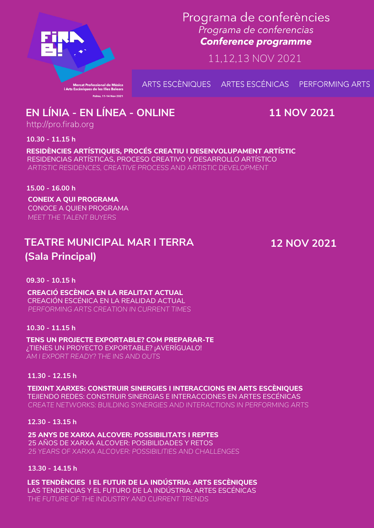

Programa de conferències Programa de conferencias **Conference programme** 

11,12,13 NOV 2021

ARTS ESCÈNIQUES ARTES ESCÉNICAS **PERFORMING ARTS** 

**11 NOV 2021**

# **TEATRE MUNICIPAL MAR I TERRA (Sala Principal)**

**12 NOV 2021**

**10.30 - 11.15 h**

**RESIDÈNCIES ARTÍSTIQUES, PROCÉS CREATIU I DESENVOLUPAMENT ARTÍSTIC** RESIDENCIAS ARTÍSTICAS, PROCESO CREATIVO Y DESARROLLO ARTÍSTICO *ARTISTIC RESIDENCES, CREATIVE PROCESS AND ARTISTIC DEVELOPMENT*

**CONEIX A QUI PROGRAMA 15.00 - 16.00 h** *MEET THE TALENT BUYERS* CONOCE A QUIEN PROGRAMA

**09.30 - 10.15 h**

**10.30 - 11.15 h**

**11.30 - 12.15 h**

**12.30 - 13.15 h**

**CREACIÓ ESCÈNICA EN LA REALITAT ACTUAL** CREACIÓN ESCÉNICA EN LA REALIDAD ACTUAL *PERFORMING ARTS CREATION IN CURRENT TIMES*

**TENS UN PROJECTE EXPORTABLE? COM PREPARAR-TE** ¿TIENES UN PROYECTO EXPORTABLE? ¡AVERÍGUALO! *AM I EXPORT READY? THE INS AND OUTS*

### **EN LÍNIA - EN LÍNEA - ONLINE** http://pro.firab.org

**TEIXINT XARXES: CONSTRUIR SINERGIES I INTERACCIONS EN ARTS ESCÈNIQUES** TEJIENDO REDES: CONSTRUIR SINERGIAS E INTERACCIONES EN ARTES ESCÉNICAS *CREATE NETWORKS: BUILDING SYNERGIES AND INTERACTIONS IN PERFORMING ARTS*

**25 ANYS DE XARXA ALCOVER: POSSIBILITATS I REPTES** 25 AÑOS DE XARXA ALCOVER: POSIBILIDADES Y RETOS *25 YEARS OF XARXA ALCOVER: POSSIBILITIES AND CHALLENGES*

**13.30 - 14.15 h**

**LES TENDÈNCIES I EL FUTUR DE LA INDÚSTRIA: ARTS ESCÈNIQUES** LAS TENDENCIAS Y EL FUTURO DE LA INDÚSTRIA: ARTES ESCÉNICAS *THE FUTURE OF THE INDUSTRY AND CURRENT TRENDS*